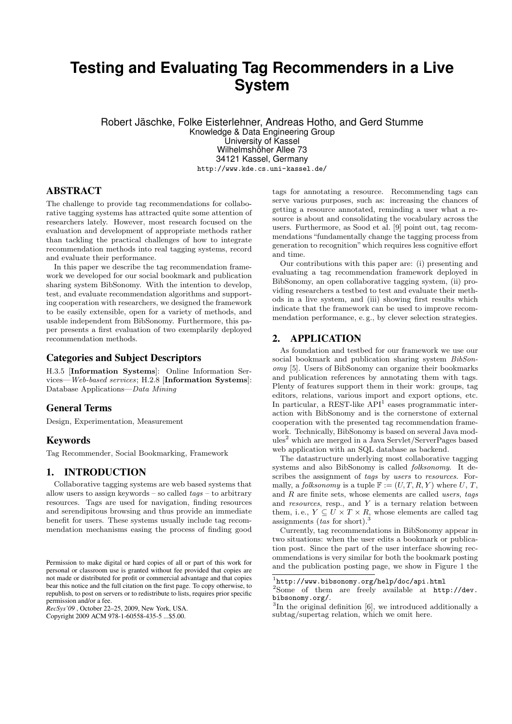# **Testing and Evaluating Tag Recommenders in a Live System**

Robert Jäschke, Folke Eisterlehner, Andreas Hotho, and Gerd Stumme Knowledge & Data Engineering Group University of Kassel Wilhelmshöher Allee 73 34121 Kassel, Germany http://www.kde.cs.uni-kassel.de/

# ABSTRACT

The challenge to provide tag recommendations for collaborative tagging systems has attracted quite some attention of researchers lately. However, most research focused on the evaluation and development of appropriate methods rather than tackling the practical challenges of how to integrate recommendation methods into real tagging systems, record and evaluate their performance.

In this paper we describe the tag recommendation framework we developed for our social bookmark and publication sharing system BibSonomy. With the intention to develop, test, and evaluate recommendation algorithms and supporting cooperation with researchers, we designed the framework to be easily extensible, open for a variety of methods, and usable independent from BibSonomy. Furthermore, this paper presents a first evaluation of two exemplarily deployed recommendation methods.

# Categories and Subject Descriptors

H.3.5 [Information Systems]: Online Information Services—Web-based services; H.2.8 [Information Systems]: Database Applications—Data Mining

#### General Terms

Design, Experimentation, Measurement

#### Keywords

Tag Recommender, Social Bookmarking, Framework

# 1. INTRODUCTION

Collaborative tagging systems are web based systems that allow users to assign keywords – so called  $tags$  – to arbitrary resources. Tags are used for navigation, finding resources and serendipitous browsing and thus provide an immediate benefit for users. These systems usually include tag recommendation mechanisms easing the process of finding good

*RecSys'09* , October 22–25, 2009, New York, USA.

tags for annotating a resource. Recommending tags can serve various purposes, such as: increasing the chances of getting a resource annotated, reminding a user what a resource is about and consolidating the vocabulary across the users. Furthermore, as Sood et al. [9] point out, tag recommendations "fundamentally change the tagging process from generation to recognition"which requires less cognitive effort and time.

Our contributions with this paper are: (i) presenting and evaluating a tag recommendation framework deployed in BibSonomy, an open collaborative tagging system, (ii) providing researchers a testbed to test and evaluate their methods in a live system, and (iii) showing first results which indicate that the framework can be used to improve recommendation performance, e. g., by clever selection strategies.

### 2. APPLICATION

As foundation and testbed for our framework we use our social bookmark and publication sharing system BibSonomy [5]. Users of BibSonomy can organize their bookmarks and publication references by annotating them with tags. Plenty of features support them in their work: groups, tag editors, relations, various import and export options, etc. In particular, a REST-like  $API<sup>1</sup>$  eases programmatic interaction with BibSonomy and is the cornerstone of external cooperation with the presented tag recommendation framework. Technically, BibSonomy is based on several Java mod $ules<sup>2</sup>$  which are merged in a Java Servlet/ServerPages based web application with an SQL database as backend.

The datastructure underlying most collaborative tagging systems and also BibSonomy is called folksonomy. It describes the assignment of tags by users to resources. Formally, a folksonomy is a tuple  $\mathbb{F} := (U, T, R, Y)$  where U, T, and  $R$  are finite sets, whose elements are called *users*, tags and *resources*, resp., and  $Y$  is a ternary relation between them, i.e.,  $Y \subseteq U \times T \times R$ , whose elements are called tag assignments (*tas* for short).<sup>3</sup>

Currently, tag recommendations in BibSonomy appear in two situations: when the user edits a bookmark or publication post. Since the part of the user interface showing recommendations is very similar for both the bookmark posting and the publication posting page, we show in Figure 1 the

Permission to make digital or hard copies of all or part of this work for personal or classroom use is granted without fee provided that copies are not made or distributed for profit or commercial advantage and that copies bear this notice and the full citation on the first page. To copy otherwise, to republish, to post on servers or to redistribute to lists, requires prior specific permission and/or a fee.

Copyright 2009 ACM 978-1-60558-435-5 ...\$5.00.

<sup>1</sup> http://www.bibsonomy.org/help/doc/api.html

<sup>2</sup>Some of them are freely available at http://dev. bibsonomy.org/.

<sup>&</sup>lt;sup>3</sup>In the original definition [6], we introduced additionally a subtag/supertag relation, which we omit here.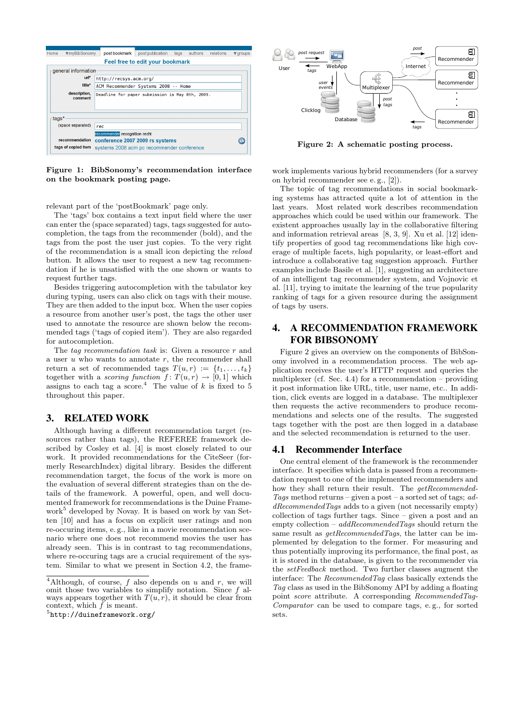| Home                                              | ▼myBibSonomy                                                               | post bookmark                              | post publication | tags | authors | relations | $\blacktriangledown$ groups |
|---------------------------------------------------|----------------------------------------------------------------------------|--------------------------------------------|------------------|------|---------|-----------|-----------------------------|
| Feel free to edit your bookmark                   |                                                                            |                                            |                  |      |         |           |                             |
| general information                               |                                                                            |                                            |                  |      |         |           |                             |
| url*<br>http://recsys.acm.org/                    |                                                                            |                                            |                  |      |         |           |                             |
|                                                   | title*<br>ACM Recommender Systems 2008 -- Home                             |                                            |                  |      |         |           |                             |
|                                                   | description,<br>Deadline for paper submission is May 8th, 2009.<br>comment |                                            |                  |      |         |           |                             |
| tags*                                             |                                                                            |                                            |                  |      |         |           |                             |
| (space separated)<br>rec                          |                                                                            |                                            |                  |      |         |           |                             |
|                                                   |                                                                            | recommender recognition recht              |                  |      |         |           |                             |
| recommendation<br>conference 2007 2009 rs systems |                                                                            |                                            |                  |      |         |           |                             |
|                                                   | tags of copied item                                                        | systems 2008 acm pc recommender conference |                  |      |         |           |                             |

Figure 1: BibSonomy's recommendation interface on the bookmark posting page.

relevant part of the 'postBookmark' page only.

The 'tags' box contains a text input field where the user can enter the (space separated) tags, tags suggested for autocompletion, the tags from the recommender (bold), and the tags from the post the user just copies. To the very right of the recommendation is a small icon depicting the reload button. It allows the user to request a new tag recommendation if he is unsatisfied with the one shown or wants to request further tags.

Besides triggering autocompletion with the tabulator key during typing, users can also click on tags with their mouse. They are then added to the input box. When the user copies a resource from another user's post, the tags the other user used to annotate the resource are shown below the recommended tags ('tags of copied item'). They are also regarded for autocompletion.

The tag recommendation task is: Given a resource  $r$  and a user  $u$  who wants to annotate  $r$ , the recommender shall return a set of recommended tags  $T(u, r) := \{t_1, \ldots, t_k\}$ together with a scoring function  $f: T(u,r) \to [0,1]$  which assigns to each tag a score.<sup>4</sup> The value of  $k$  is fixed to 5 throughout this paper.

# 3. RELATED WORK

Although having a different recommendation target (resources rather than tags), the REFEREE framework described by Cosley et al. [4] is most closely related to our work. It provided recommendations for the CiteSeer (formerly ResearchIndex) digital library. Besides the different recommendation target, the focus of the work is more on the evaluation of several different strategies than on the details of the framework. A powerful, open, and well documented framework for recommendations is the Duine Framework<sup>5</sup> developed by Novay. It is based on work by van Setten [10] and has a focus on explicit user ratings and non re-occuring items, e. g., like in a movie recommendation scenario where one does not recommend movies the user has already seen. This is in contrast to tag recommendations, where re-occuring tags are a crucial requirement of the system. Similar to what we present in Section 4.2, the frame-

 $5$ http://duineframework.org/



Figure 2: A schematic posting process.

work implements various hybrid recommenders (for a survey on hybrid recommender see e. g., [2]).

The topic of tag recommendations in social bookmarking systems has attracted quite a lot of attention in the last years. Most related work describes recommendation approaches which could be used within our framework. The existent approaches usually lay in the collaborative filtering and information retrieval areas [8, 3, 9]. Xu et al. [12] identify properties of good tag recommendations like high coverage of multiple facets, high popularity, or least-effort and introduce a collaborative tag suggestion approach. Further examples include Basile et al. [1], suggesting an architecture of an intelligent tag recommender system, and Vojnovic et al. [11], trying to imitate the learning of the true popularity ranking of tags for a given resource during the assignment of tags by users.

# 4. A RECOMMENDATION FRAMEWORK FOR BIBSONOMY

Figure 2 gives an overview on the components of BibSonomy involved in a recommendation process. The web application receives the user's HTTP request and queries the multiplexer (cf. Sec. 4.4) for a recommendation – providing it post information like URL, title, user name, etc.. In addition, click events are logged in a database. The multiplexer then requests the active recommenders to produce recommendations and selects one of the results. The suggested tags together with the post are then logged in a database and the selected recommendation is returned to the user.

#### 4.1 Recommender Interface

One central element of the framework is the recommender interface. It specifies which data is passed from a recommendation request to one of the implemented recommenders and how they shall return their result. The getRecommended-Tags method returns – given a post – a sorted set of tags;  $ad$  $dRecommendedTags$  adds to a given (not necessarily empty) collection of tags further tags. Since – given a post and an empty collection –  $addRecommendedTags$  should return the same result as *getRecommendedTags*, the latter can be implemented by delegation to the former. For measuring and thus potentially improving its performance, the final post, as it is stored in the database, is given to the recommender via the setFeedback method. Two further classes augment the interface: The RecommendedTag class basically extends the Tag class as used in the BibSonomy API by adding a floating point score attribute. A corresponding RecommendedTag-Comparator can be used to compare tags, e. g., for sorted sets.

<sup>&</sup>lt;sup>4</sup>Although, of course, f also depends on u and r, we will omit those two variables to simplify notation. Since  $f$  always appears together with  $T(u, r)$ , it should be clear from context, which  $\tilde{f}$  is meant.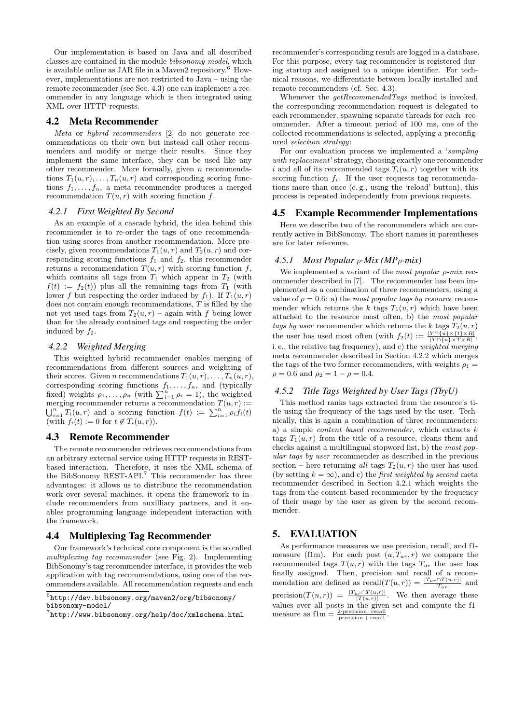Our implementation is based on Java and all described classes are contained in the module bibsonomy-model, which is available online as JAR file in a Maven2 repository.<sup>6</sup> However, implementations are not restricted to Java – using the remote recommender (see Sec. 4.3) one can implement a recommender in any language which is then integrated using XML over HTTP requests.

#### 4.2 Meta Recommender

Meta or hybrid recommenders [2] do not generate recommendations on their own but instead call other recommenders and modify or merge their results. Since they implement the same interface, they can be used like any other recommender. More formally, given n recommendations  $T_1(u, r), \ldots, T_n(u, r)$  and corresponding scoring functions  $f_1, \ldots, f_n$ , a meta recommender produces a merged recommendation  $T(u, r)$  with scoring function f.

#### *4.2.1 First Weighted By Second*

As an example of a cascade hybrid, the idea behind this recommender is to re-order the tags of one recommendation using scores from another recommendation. More precisely, given recommendations  $T_1(u, r)$  and  $T_2(u, r)$  and corresponding scoring functions  $f_1$  and  $f_2$ , this recommender returns a recommendation  $T(u, r)$  with scoring function f, which contains all tags from  $T_1$  which appear in  $T_2$  (with  $f(t) := f_2(t)$  plus all the remaining tags from  $T_1$  (with lower f but respecting the order induced by  $f_1$ ). If  $T_1(u, r)$ does not contain enough recommendations, T is filled by the not yet used tags from  $T_2(u, r)$  – again with f being lower than for the already contained tags and respecting the order induced by  $f_2$ .

#### *4.2.2 Weighted Merging*

This weighted hybrid recommender enables merging of recommendations from different sources and weighting of their scores. Given n recommendations  $T_1(u, r), \ldots, T_n(u, r)$ , corresponding scoring functions  $f_1, \ldots, f_n$ , and (typically fixed) weights  $\rho_1, \ldots, \rho_n$  (with  $\sum_{i=1}^n \rho_i = 1$ ), the weighted merging recommender returns a recommendation  $T(u,r) :=$  $\bigcup_{i=1}^n T_i(u,r)$  and a scoring function  $f(t) := \sum_{i=1}^n \rho_i f_i(t)$ (with  $f_i(t) := 0$  for  $t \notin T_i(u, r)$ ).

#### 4.3 Remote Recommender

The remote recommender retrieves recommendations from an arbitrary external service using HTTP requests in RESTbased interaction. Therefore, it uses the XML schema of the BibSonomy REST-API.<sup>7</sup> This recommender has three advantages: it allows us to distribute the recommendation work over several machines, it opens the framework to include recommenders from auxilliary partners, and it enables programming language independent interaction with the framework.

#### 4.4 Multiplexing Tag Recommender

Our framework's technical core component is the so called multiplexing tag recommender (see Fig. 2). Implementing BibSonomy's tag recommender interface, it provides the web application with tag recommendations, using one of the recommenders available. All recommendation requests and each

recommender's corresponding result are logged in a database. For this purpose, every tag recommender is registered during startup and assigned to a unique identifier. For technical reasons, we differentiate between locally installed and remote recommenders (cf. Sec. 4.3).

Whenever the  $getRecommendedTags$  method is invoked, the corresponding recommendation request is delegated to each recommender, spawning separate threads for each recommender. After a timeout period of 100 ms, one of the collected recommendations is selected, applying a preconfigured selection strategy:

For our evaluation process we implemented a 'sampling with replacement' strategy, choosing exactly one recommender i and all of its recommended tags  $T_i(u, r)$  together with its scoring function  $f_i$ . If the user requests tag recommendations more than once (e. g., using the 'reload' button), this process is repeated independently from previous requests.

#### 4.5 Example Recommender Implementations

Here we describe two of the recommenders which are currently active in BibSonomy. The short names in parentheses are for later reference.

#### *4.5.1 Most Popular* ρ*-Mix (MP*ρ*-mix)*

We implemented a variant of the most popular  $\rho$ -mix recommender described in [7]. The recommender has been implemented as a combination of three recommenders, using a value of  $\rho = 0.6$ : a) the most popular tags by resource recommender which returns the k tags  $T_1(u, r)$  which have been attached to the resource most often, b) the most popular tags by user recommender which returns the k tags  $T_2(u, r)$ the user has used most often (with  $f_2(t) := \frac{|Y \cap \{u\} \times \{t\} \times R|}{|Y \cap \{u\} \times T \times R|}$ , i. e., the relative tag frequency), and c) the weighted merging meta recommender described in Section 4.2.2 which merges the tags of the two former recommenders, with weights  $\rho_1 =$  $\rho = 0.6$  and  $\rho_2 = 1 - \rho = 0.4$ .

# *4.5.2 Title Tags Weighted by User Tags (TbyU)*

This method ranks tags extracted from the resource's title using the frequency of the tags used by the user. Technically, this is again a combination of three recommenders: a) a simple *content based recommender*, which extracts  $k$ tags  $T_1(u, r)$  from the title of a resource, cleans them and checks against a multilingual stopword list, b) the most popular tags by user recommender as described in the previous section – here returning all tags  $T_2(u, r)$  the user has used (by setting  $k = \infty$ ), and c) the *first weighted by second* meta recommender described in Section 4.2.1 which weights the tags from the content based recommender by the frequency of their usage by the user as given by the second recommender.

# 5. EVALUATION

As performance measures we use precision, recall, and f1 measure (f1m). For each post  $(u, T_{ur}, r)$  we compare the recommended tags  $T(u, r)$  with the tags  $T_{ur}$  the user has finally assigned. Then, precision and recall of a recommendation are defined as  $recall(T(u,r)) = \frac{|T_{ur} \cap T(u,r)|}{|T_{ur}|}$  and precision $(T(u,r)) = \frac{|T_{ur} \cap T(u,r)|}{|T(u,r)|}$ . We then average these values over all posts in the given set and compute the f1 measure as  $f1m = \frac{2 \cdot \text{precision} \cdot \text{recall}}{\text{precision} + \text{recall}}$ .

 $^6$ http://dev.bibsonomy.org/maven $2$ /org/bibsonomy/ bibsonomy-model/

 $^{7}$ http://www.bibsonomy.org/help/doc/xmlschema.html